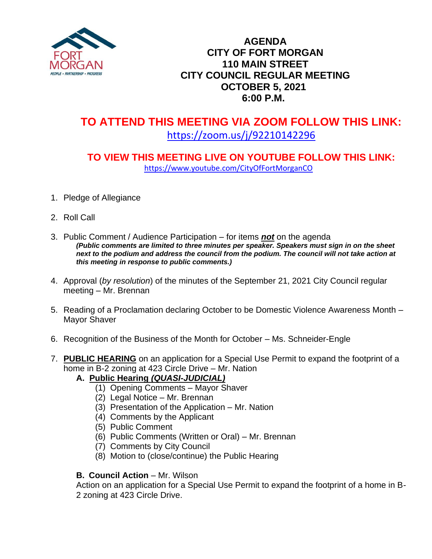

### **AGENDA CITY OF FORT MORGAN 110 MAIN STREET CITY COUNCIL REGULAR MEETING OCTOBER 5, 2021 6:00 P.M.**

# **TO ATTEND THIS MEETING VIA ZOOM FOLLOW THIS LINK:** <https://zoom.us/j/92210142296>

## **TO VIEW THIS MEETING LIVE ON YOUTUBE FOLLOW THIS LINK:** <https://www.youtube.com/CityOfFortMorganCO>

- 1. Pledge of Allegiance
- 2. Roll Call
- 3. Public Comment / Audience Participation for items *not* on the agenda *(Public comments are limited to three minutes per speaker. Speakers must sign in on the sheet*  next to the podium and address the council from the podium. The council will not take action at *this meeting in response to public comments.)*
- 4. Approval (*by resolution*) of the minutes of the September 21, 2021 City Council regular meeting – Mr. Brennan
- 5. Reading of a Proclamation declaring October to be Domestic Violence Awareness Month Mayor Shaver
- 6. Recognition of the Business of the Month for October Ms. Schneider-Engle
- 7. **PUBLIC HEARING** on an application for a Special Use Permit to expand the footprint of a home in B-2 zoning at 423 Circle Drive – Mr. Nation

#### **A.****Public Hearing** *(QUASI-JUDICIAL)*

- (1) Opening Comments Mayor Shaver
- (2) Legal Notice Mr. Brennan
- (3) Presentation of the Application Mr. Nation
- (4) Comments by the Applicant
- (5) Public Comment
- (6) Public Comments (Written or Oral) Mr. Brennan
- (7) Comments by City Council
- (8) Motion to (close/continue) the Public Hearing

#### **B. Council Action** – Mr. Wilson

Action on an application for a Special Use Permit to expand the footprint of a home in B-2 zoning at 423 Circle Drive.